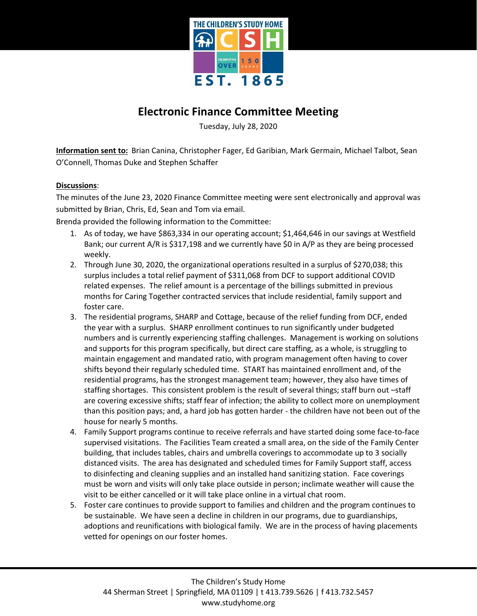

## **Electronic Finance Committee Meeting**

Tuesday, July 28, 2020

**Information sent to:** Brian Canina, Christopher Fager, Ed Garibian, Mark Germain, Michael Talbot, Sean O'Connell, Thomas Duke and Stephen Schaffer

## **Discussions**:

The minutes of the June 23, 2020 Finance Committee meeting were sent electronically and approval was submitted by Brian, Chris, Ed, Sean and Tom via email.

Brenda provided the following information to the Committee:

- 1. As of today, we have \$863,334 in our operating account; \$1,464,646 in our savings at Westfield Bank; our current A/R is \$317,198 and we currently have \$0 in A/P as they are being processed weekly.
- 2. Through June 30, 2020, the organizational operations resulted in a surplus of \$270,038; this surplus includes a total relief payment of \$311,068 from DCF to support additional COVID related expenses. The relief amount is a percentage of the billings submitted in previous months for Caring Together contracted services that include residential, family support and foster care.
- 3. The residential programs, SHARP and Cottage, because of the relief funding from DCF, ended the year with a surplus. SHARP enrollment continues to run significantly under budgeted numbers and is currently experiencing staffing challenges. Management is working on solutions and supports for this program specifically, but direct care staffing, as a whole, is struggling to maintain engagement and mandated ratio, with program management often having to cover shifts beyond their regularly scheduled time. START has maintained enrollment and, of the residential programs, has the strongest management team; however, they also have times of staffing shortages. This consistent problem is the result of several things; staff burn out –staff are covering excessive shifts; staff fear of infection; the ability to collect more on unemployment than this position pays; and, a hard job has gotten harder - the children have not been out of the house for nearly 5 months.
- 4. Family Support programs continue to receive referrals and have started doing some face-to-face supervised visitations. The Facilities Team created a small area, on the side of the Family Center building, that includes tables, chairs and umbrella coverings to accommodate up to 3 socially distanced visits. The area has designated and scheduled times for Family Support staff, access to disinfecting and cleaning supplies and an installed hand sanitizing station. Face coverings must be worn and visits will only take place outside in person; inclimate weather will cause the visit to be either cancelled or it will take place online in a virtual chat room.
- 5. Foster care continues to provide support to families and children and the program continues to be sustainable. We have seen a decline in children in our programs, due to guardianships, adoptions and reunifications with biological family. We are in the process of having placements vetted for openings on our foster homes.